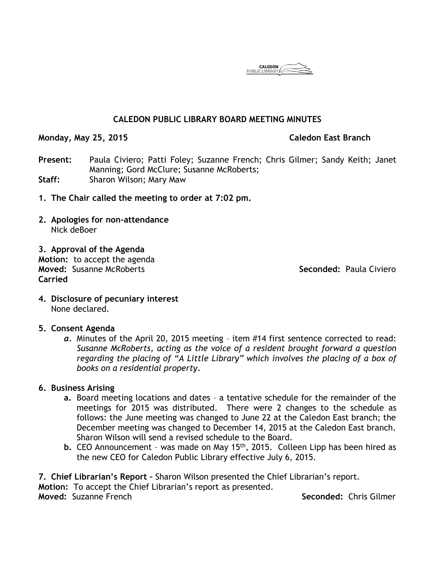**CALEDON** 

# **CALEDON PUBLIC LIBRARY BOARD MEETING MINUTES**

**Monday, May 25, 2015 Caledon East Branch**

**Present:** Paula Civiero; Patti Foley; Suzanne French; Chris Gilmer; Sandy Keith; Janet Manning; Gord McClure; Susanne McRoberts; **Staff:** Sharon Wilson; Mary Maw

- **1. The Chair called the meeting to order at 7:02 pm.**
- **2. Apologies for non-attendance** Nick deBoer
- **3. Approval of the Agenda Motion:** to accept the agenda **Moved:** Susanne McRoberts **Seconded:** Paula Civiero **Carried**

**4. Disclosure of pecuniary interest** None declared.

### **5. Consent Agenda**

*a.* Minutes of the April 20, 2015 meeting – item #14 first sentence corrected to read: *Susanne McRoberts, acting as the voice of a resident brought forward a question regarding the placing of "A Little Library" which involves the placing of a box of books on a residential property.* 

### **6. Business Arising**

- **a.** Board meeting locations and dates a tentative schedule for the remainder of the meetings for 2015 was distributed. There were 2 changes to the schedule as follows: the June meeting was changed to June 22 at the Caledon East branch; the December meeting was changed to December 14, 2015 at the Caledon East branch. Sharon Wilson will send a revised schedule to the Board.
- **b.** CEO Announcement was made on May 15th, 2015. Colleen Lipp has been hired as the new CEO for Caledon Public Library effective July 6, 2015.

**7. Chief Librarian's Report –** Sharon Wilson presented the Chief Librarian's report. **Motion:** To accept the Chief Librarian's report as presented. **Moved:** Suzanne French **Seconded:** Chris Gilmer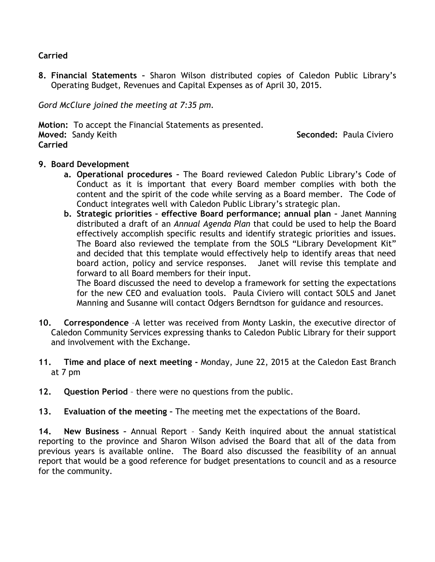# **Carried**

**8. Financial Statements –** Sharon Wilson distributed copies of Caledon Public Library's Operating Budget, Revenues and Capital Expenses as of April 30, 2015.

*Gord McClure joined the meeting at 7:35 pm.*

**Motion:** To accept the Financial Statements as presented. **Moved:** Sandy Keith **Seconded:** Paula Civiero **Carried**

# **9. Board Development**

- **a. Operational procedures –** The Board reviewed Caledon Public Library's Code of Conduct as it is important that every Board member complies with both the content and the spirit of the code while serving as a Board member. The Code of Conduct integrates well with Caledon Public Library's strategic plan.
- **b. Strategic priorities – effective Board performance; annual plan –** Janet Manning distributed a draft of an *Annual Agenda Plan* that could be used to help the Board effectively accomplish specific results and identify strategic priorities and issues. The Board also reviewed the template from the SOLS "Library Development Kit" and decided that this template would effectively help to identify areas that need board action, policy and service responses. Janet will revise this template and forward to all Board members for their input.

The Board discussed the need to develop a framework for setting the expectations for the new CEO and evaluation tools. Paula Civiero will contact SOLS and Janet Manning and Susanne will contact Odgers Berndtson for guidance and resources.

- **10. Correspondence** –A letter was received from Monty Laskin, the executive director of Caledon Community Services expressing thanks to Caledon Public Library for their support and involvement with the Exchange.
- **11. Time and place of next meeting -** Monday, June 22, 2015 at the Caledon East Branch at 7 pm
- **12. Question Period**  there were no questions from the public.
- **13. Evaluation of the meeting –** The meeting met the expectations of the Board.

**14. New Business –** Annual Report – Sandy Keith inquired about the annual statistical reporting to the province and Sharon Wilson advised the Board that all of the data from previous years is available online. The Board also discussed the feasibility of an annual report that would be a good reference for budget presentations to council and as a resource for the community.